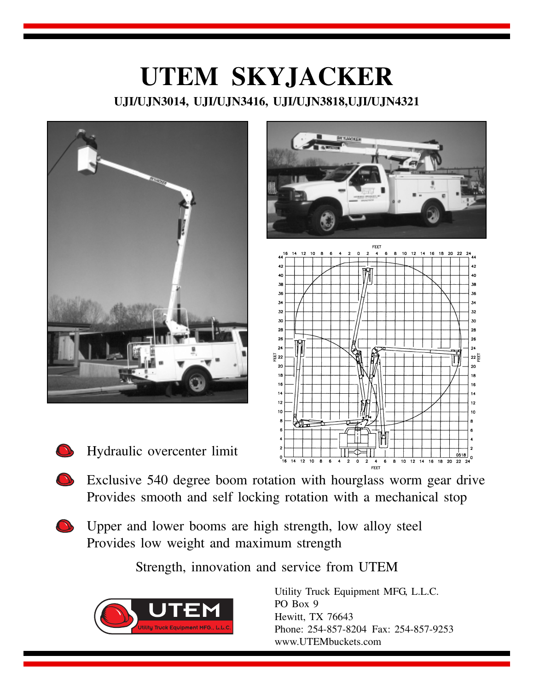





- Hydraulic overcenter limit
- Exclusive 540 degree boom rotation with hourglass worm gear drive Provides smooth and self locking rotation with a mechanical stop
- Upper and lower booms are high strength, low alloy steel Provides low weight and maximum strength

Strength, innovation and service from UTEM



Utility Truck Equipment MFG, L.L.C. PO Box 9 Hewitt, TX 76643 Phone: 254-857-8204 Fax: 254-857-9253 www.UTEMbuckets.com